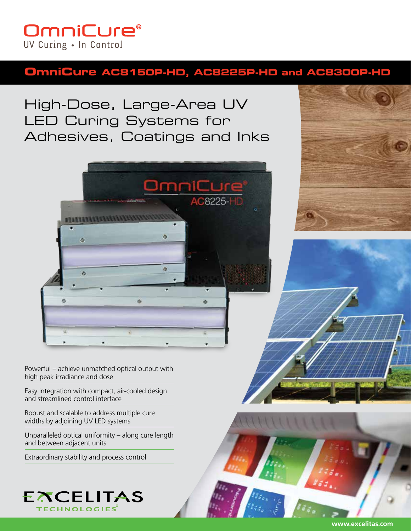# **OmniCure®** UV Curing . In Control

# **OmniCure AC8150P-HD, AC8225P-HD and AC8300P-HD**

High-Dose, Large-Area UV LED Curing Systems for Adhesives, Coatings and Inks



Powerful – achieve unmatched optical output with high peak irradiance and dose

Easy integration with compact, air-cooled design and streamlined control interface

Robust and scalable to address multiple cure widths by adjoining UV LED systems

Unparalleled optical uniformity – along cure length and between adjacent units

Extraordinary stability and process control